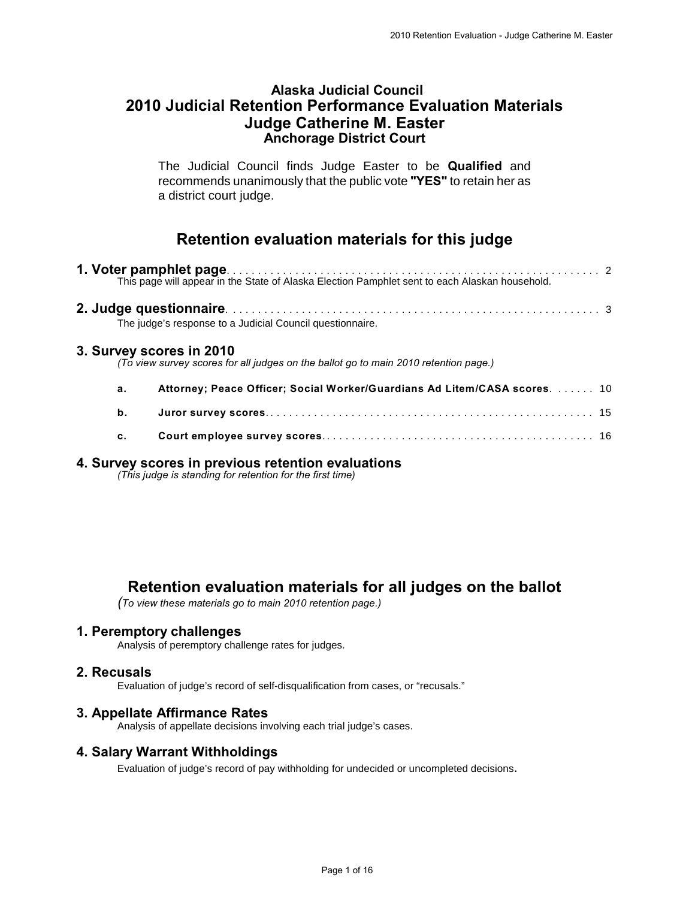## **Alaska Judicial Council 2010 Judicial Retention Performance Evaluation Materials Judge Catherine M. Easter Anchorage District Court**

The Judicial Council finds Judge Easter to be **Qualified** and recommends unanimously that the public vote **"YES"** to retain her as a district court judge.

# **Retention evaluation materials for this judge**

|    | The judge's response to a Judicial Council questionnaire.                                                        |  |
|----|------------------------------------------------------------------------------------------------------------------|--|
|    | 3. Survey scores in 2010<br>(To view survey scores for all judges on the ballot go to main 2010 retention page.) |  |
| а. | Attorney; Peace Officer; Social Worker/Guardians Ad Litem/CASA scores.  10                                       |  |
| b. |                                                                                                                  |  |
| c. |                                                                                                                  |  |
|    |                                                                                                                  |  |

# **4. Survey scores in previous retention evaluations**

*(This judge is standing for retention for the first time)*

# **Retention evaluation materials for all judges on the ballot**

*(To view these materials go to main 2010 retention page.)*

#### **1. Peremptory challenges**

Analysis of peremptory challenge rates for judges.

#### **2. Recusals**

Evaluation of judge's record of self-disqualification from cases, or "recusals."

#### **3. Appellate Affirmance Rates**

Analysis of appellate decisions involving each trial judge's cases.

#### **4. Salary Warrant Withholdings**

Evaluation of judge's record of pay withholding for undecided or uncompleted decisions.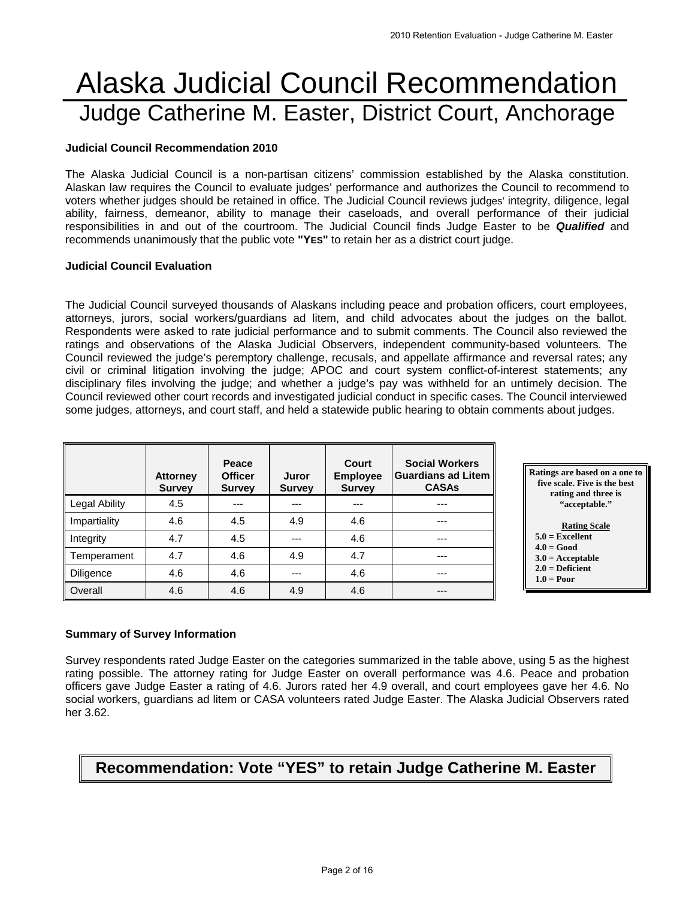# Alaska Judicial Council Recommendation Judge Catherine M. Easter, District Court, Anchorage

#### **Judicial Council Recommendation 2010**

The Alaska Judicial Council is a non-partisan citizens' commission established by the Alaska constitution. Alaskan law requires the Council to evaluate judges' performance and authorizes the Council to recommend to voters whether judges should be retained in office. The Judicial Council reviews judges' integrity, diligence, legal ability, fairness, demeanor, ability to manage their caseloads, and overall performance of their judicial responsibilities in and out of the courtroom. The Judicial Council finds Judge Easter to be *Qualified* and recommends unanimously that the public vote **"YES"** to retain her as a district court judge.

#### **Judicial Council Evaluation**

The Judicial Council surveyed thousands of Alaskans including peace and probation officers, court employees, attorneys, jurors, social workers/guardians ad litem, and child advocates about the judges on the ballot. Respondents were asked to rate judicial performance and to submit comments. The Council also reviewed the ratings and observations of the Alaska Judicial Observers, independent community-based volunteers. The Council reviewed the judge's peremptory challenge, recusals, and appellate affirmance and reversal rates; any civil or criminal litigation involving the judge; APOC and court system conflict-of-interest statements; any disciplinary files involving the judge; and whether a judge's pay was withheld for an untimely decision. The Council reviewed other court records and investigated judicial conduct in specific cases. The Council interviewed some judges, attorneys, and court staff, and held a statewide public hearing to obtain comments about judges.

|                  | <b>Attorney</b><br><b>Survey</b> | Peace<br><b>Officer</b><br><b>Survey</b> | Juror<br><b>Survey</b> | Court<br><b>Employee</b><br><b>Survey</b> | <b>Social Workers</b><br>Guardians ad Litem<br><b>CASAs</b> |
|------------------|----------------------------------|------------------------------------------|------------------------|-------------------------------------------|-------------------------------------------------------------|
| Legal Ability    | 4.5                              | ---                                      |                        |                                           | ---                                                         |
| Impartiality     | 4.6                              | 4.5                                      | 4.9                    | 4.6                                       | ---                                                         |
| Integrity        | 4.7                              | 4.5                                      | ---                    | 4.6                                       | ---                                                         |
| Temperament      | 4.7                              | 4.6                                      | 4.9                    | 4.7                                       | ---                                                         |
| <b>Diligence</b> | 4.6                              | 4.6                                      | ---                    | 4.6                                       | ---                                                         |
| Overall          | 4.6                              | 4.6                                      | 4.9                    | 4.6                                       | ---                                                         |



 **2.0 = Deficient 1.0 = Poor** 

#### **Summary of Survey Information**

Survey respondents rated Judge Easter on the categories summarized in the table above, using 5 as the highest rating possible. The attorney rating for Judge Easter on overall performance was 4.6. Peace and probation officers gave Judge Easter a rating of 4.6. Jurors rated her 4.9 overall, and court employees gave her 4.6. No social workers, guardians ad litem or CASA volunteers rated Judge Easter. The Alaska Judicial Observers rated her 3.62.

# **Recommendation: Vote "YES" to retain Judge Catherine M. Easter**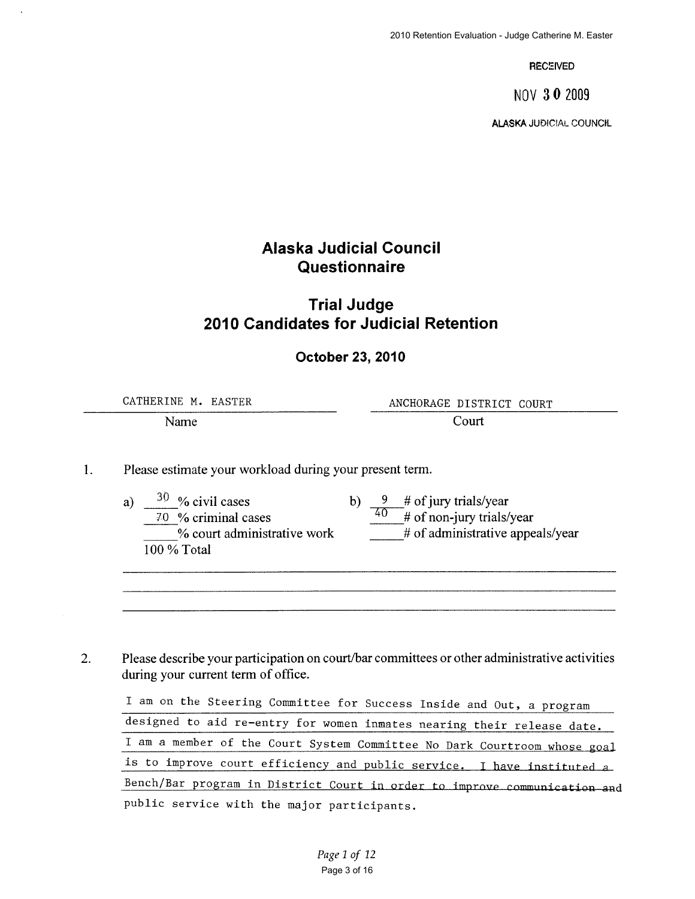**RECEIVED** 

NOV 30 2009

**ALASKA JUDICIAL COUNCIL** 

# **Alaska Judicial Council** Questionnaire

# **Trial Judge** 2010 Candidates for Judicial Retention

#### **October 23, 2010**

CATHERINE M. EASTER ANCHORAGE DISTRICT COURT Court Name

1. Please estimate your workload during your present term.

> $30\%$  civil cases  $\frac{9}{40}$  # of jury trials/year<br> $\frac{40}{40}$  # of non-jury trials/year  $b)$  $a)$ 70 % criminal cases # of administrative appeals/year % court administrative work 100 % Total

Please describe your participation on court/bar committees or other administrative activities  $2.$ during your current term of office.

I am on the Steering Committee for Success Inside and Out, a program designed to aid re-entry for women inmates nearing their release date. I am a member of the Court System Committee No Dark Courtroom whose goal is to improve court efficiency and public service. I have instituted a Bench/Bar program in District Court in order to improve communication and public service with the major participants.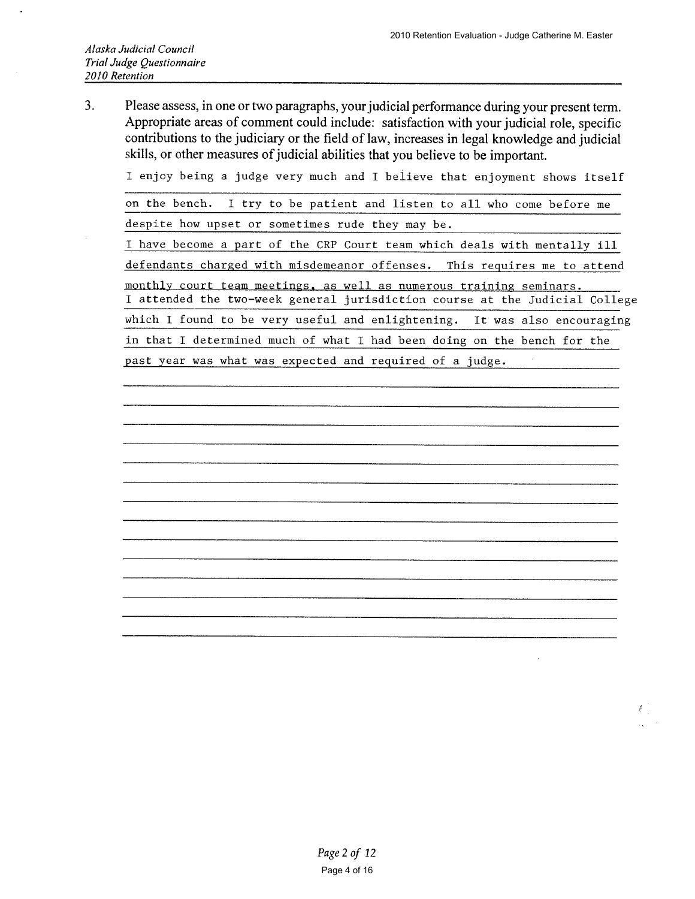$3<sub>1</sub>$ Please assess, in one or two paragraphs, your judicial performance during your present term. Appropriate areas of comment could include: satisfaction with your judicial role, specific contributions to the judiciary or the field of law, increases in legal knowledge and judicial skills, or other measures of judicial abilities that you believe to be important.

I enjoy being a judge very much and I believe that enjoyment shows itself

on the bench. I try to be patient and listen to all who come before me

despite how upset or sometimes rude they may be.

I have become a part of the CRP Court team which deals with mentally ill

defendants charged with misdemeanor offenses. This requires me to attend

monthly court team meetings, as well as numerous training seminars. I attended the two-week general jurisdiction course at the Judicial College which I found to be very useful and enlightening. It was also encouraging

in that I determined much of what I had been doing on the bench for the

past year was what was expected and required of a judge.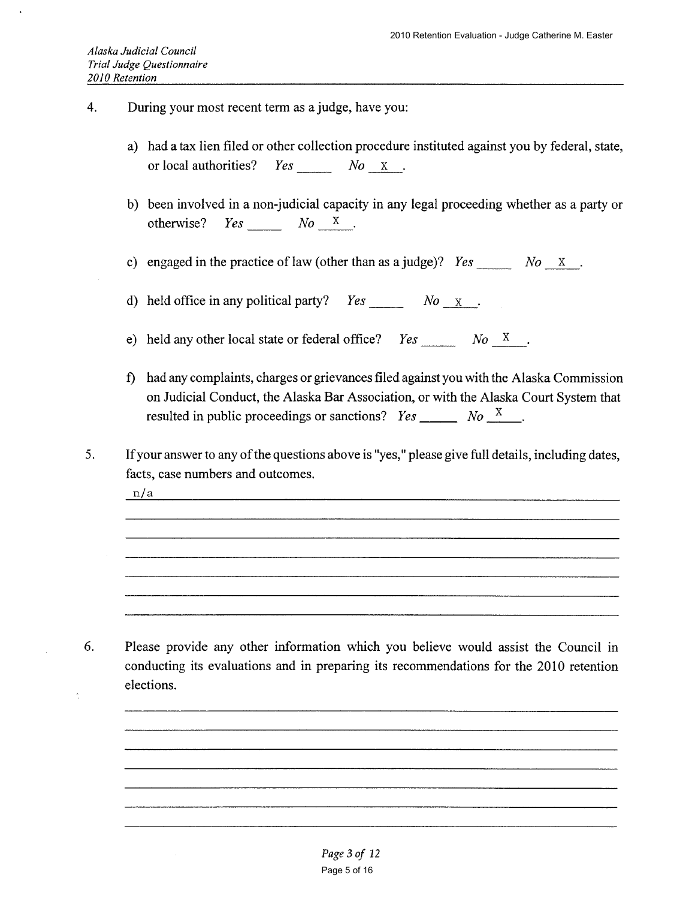- $\overline{4}$ . During your most recent term as a judge, have you:
	- a) had a tax lien filed or other collection procedure instituted against you by federal, state,  $Yes$   $No$   $X$ . or local authorities?
	- b) been involved in a non-judicial capacity in any legal proceeding whether as a party or  $Yes$   $No$   $X$ . otherwise?

c) engaged in the practice of law (other than as a judge)?  $Yes$   $No$  x.

d) held office in any political party?  $Yes$   $No$   $X$ .

e) held any other local state or federal office?  $Yes$  No X.

- f) had any complaints, charges or grievances filed against you with the Alaska Commission on Judicial Conduct, the Alaska Bar Association, or with the Alaska Court System that resulted in public proceedings or sanctions?  $Yes \_\_\_\_$  No  $\_\_\_$ .
- 5. If your answer to any of the questions above is "yes," please give full details, including dates, facts, case numbers and outcomes.

n/a

6. Please provide any other information which you believe would assist the Council in conducting its evaluations and in preparing its recommendations for the 2010 retention elections.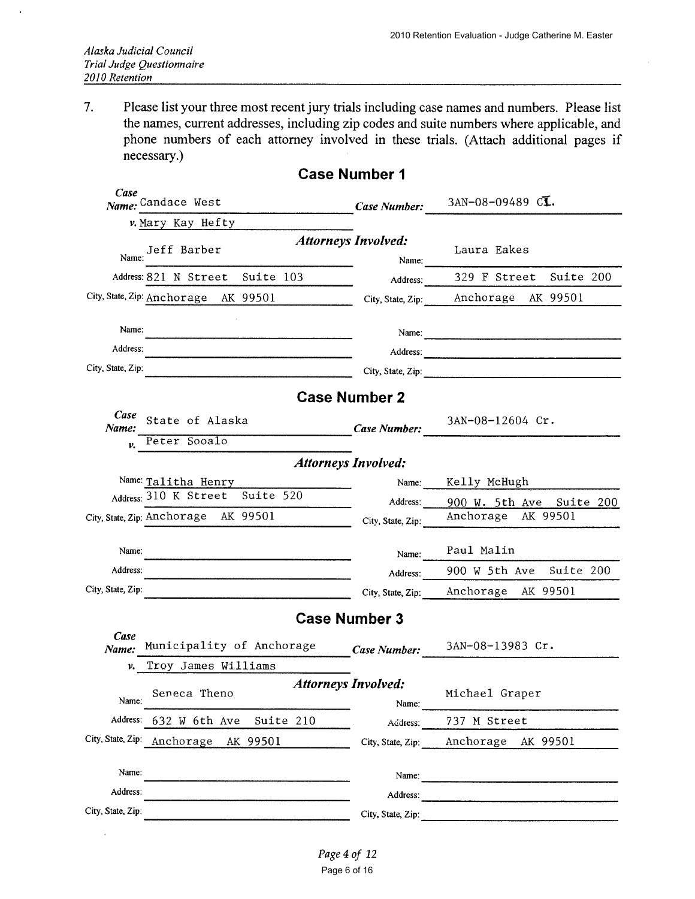Please list your three most recent jury trials including case names and numbers. Please list 7. the names, current addresses, including zip codes and suite numbers where applicable, and phone numbers of each attorney involved in these trials. (Attach additional pages if necessary.)

| Case<br>Name: Candace West                                | Case Number:                        | 3AN-08-09489 CL.                                     |
|-----------------------------------------------------------|-------------------------------------|------------------------------------------------------|
| v.Mary Kay Hefty                                          |                                     |                                                      |
| Jeff Barber<br>Name:                                      | <b>Attorneys Involved:</b><br>Name: | Laura Eakes                                          |
| Suite 103<br>Address: 821 N Street                        | Address:                            | 329 F Street<br>Suite 200                            |
| City, State, Zip: Anchorage AK 99501                      | City, State, Zip:                   | Anchorage<br>AK 99501                                |
| Name:                                                     | Name:                               |                                                      |
| Address:                                                  | Address:                            |                                                      |
| City, State, Zip:                                         | City, State, Zip:                   |                                                      |
|                                                           | <b>Case Number 2</b>                |                                                      |
| Case<br>State of Alaska<br>Name:                          | Case Number:                        | 3AN-08-12604 Cr.                                     |
| Peter Sooalo<br>ν.                                        |                                     |                                                      |
|                                                           | <b>Attorneys Involved:</b>          |                                                      |
| Name: Talitha Henry<br>Address: 310 K Street<br>Suite 520 | Name:                               | Kelly McHugh                                         |
| City, State, Zip: Anchorage AK 99501                      | Address:                            | 900 W. 5th Ave<br>Suite 200<br>Anchorage<br>AK 99501 |
|                                                           | City, State, Zip:                   |                                                      |
| Name:                                                     | Name:                               | Paul Malin                                           |
| Address:                                                  | Address:                            | 900 W 5th Ave<br>Suite 200                           |
| City, State, Zip:                                         | City, State, Zip:                   | Anchorage AK 99501                                   |
|                                                           | <b>Case Number 3</b>                |                                                      |
| Case<br>Municipality of Anchorage<br>Name:                | Case Number:                        | 3AN-08-13983 Cr.                                     |
| Troy James Williams<br>ν.                                 |                                     |                                                      |
| Seneca Theno<br>Name:                                     | <b>Attorneys Involved:</b><br>Name: | Michael Graper                                       |
| Address:<br>632 W 6th Ave                                 | Suite 210                           | Address: 737 M Street                                |
| City, State, Zip:<br>Anchorage AK 99501                   |                                     | City, State, Zip: Anchorage AK 99501                 |
| Name:                                                     |                                     |                                                      |
| Address:                                                  |                                     |                                                      |
| City, State, Zip:                                         |                                     | City, State, Zip:                                    |

# **Case Number 1**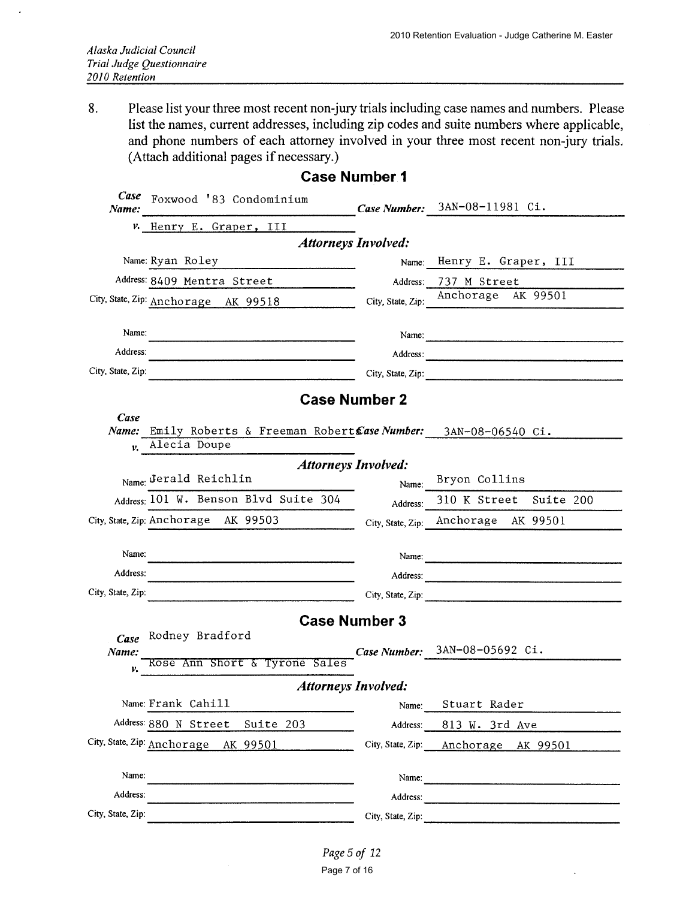8. Please list your three most recent non-jury trials including case names and numbers. Please list the names, current addresses, including zip codes and suite numbers where applicable, and phone numbers of each attorney involved in your three most recent non-jury trials. (Attach additional pages if necessary.)

| Case<br>Name:     | Foxwood '83 Condominium                                                            |                   | Case Number: 3AN-08-11981 Ci.                                                                                                                                                                                                  |
|-------------------|------------------------------------------------------------------------------------|-------------------|--------------------------------------------------------------------------------------------------------------------------------------------------------------------------------------------------------------------------------|
|                   | v. Henry E. Graper, III                                                            |                   |                                                                                                                                                                                                                                |
|                   | <b>Attorneys Involved:</b>                                                         |                   |                                                                                                                                                                                                                                |
|                   | Name: Ryan Roley                                                                   |                   | Name: Henry E. Graper, III                                                                                                                                                                                                     |
|                   | Address: 8409 Mentra Street                                                        | Address:          | 737 M Street                                                                                                                                                                                                                   |
|                   | City, State, Zip: Anchorage AK 99518                                               | City, State, Zip: | Anchorage AK 99501                                                                                                                                                                                                             |
| Name:             |                                                                                    |                   | Name:                                                                                                                                                                                                                          |
| Address:          |                                                                                    |                   | Address: 2008 Communication of the Second Second Second Second Second Second Second Second Second Second Second Second Second Second Second Second Second Second Second Second Second Second Second Second Second Second Secon |
| City, State, Zip: |                                                                                    |                   | City, State, Zip:                                                                                                                                                                                                              |
|                   | <b>Case Number 2</b>                                                               |                   |                                                                                                                                                                                                                                |
| Case              |                                                                                    |                   |                                                                                                                                                                                                                                |
| v.                | Name: Emily Roberts & Freeman Robert Case Number: 3AN-08-06540 Ci.<br>Alecia Doupe |                   |                                                                                                                                                                                                                                |
|                   | <b>Attorneys Involved:</b>                                                         |                   |                                                                                                                                                                                                                                |
|                   | Name: Jerald Reichlin                                                              | Name:             | Bryon Collins                                                                                                                                                                                                                  |
|                   | Address: 101 W. Benson Blvd Suite 304                                              | Address:          | 310 K Street Suite 200                                                                                                                                                                                                         |
|                   | City, State, Zip: Anchorage AK 99503                                               |                   | City, State, Zip: Anchorage AK 99501                                                                                                                                                                                           |
| Name:             |                                                                                    |                   |                                                                                                                                                                                                                                |
| Address:          |                                                                                    |                   | Name:                                                                                                                                                                                                                          |
| City, State, Zip: |                                                                                    |                   |                                                                                                                                                                                                                                |
|                   |                                                                                    |                   | City, State, Zip:                                                                                                                                                                                                              |
|                   | <b>Case Number 3</b>                                                               |                   |                                                                                                                                                                                                                                |
| Case<br>Name:     | Rodney Bradford                                                                    |                   | Case Number: 3AN-08-05692 Ci.                                                                                                                                                                                                  |
| ν.                | Rose Ann Short & Tyrone Sales                                                      |                   |                                                                                                                                                                                                                                |
|                   | <b>Attorneys Involved:</b>                                                         |                   |                                                                                                                                                                                                                                |
|                   | Name: Frank Cahill                                                                 | Name:             | Stuart Rader                                                                                                                                                                                                                   |
|                   | Address: 880 N Street<br>Suite 203                                                 | Address:          | 813 W. 3rd Ave                                                                                                                                                                                                                 |
|                   | City, State, Zip: Anchorage AK 99501                                               |                   | City, State, Zip: Anchorage AK 99501                                                                                                                                                                                           |
| Name:             |                                                                                    |                   | Name:                                                                                                                                                                                                                          |
| Address:          |                                                                                    |                   | Address:                                                                                                                                                                                                                       |
| City, State, Zip: |                                                                                    | City, State, Zip: |                                                                                                                                                                                                                                |
|                   |                                                                                    |                   |                                                                                                                                                                                                                                |

### **Case Number 1**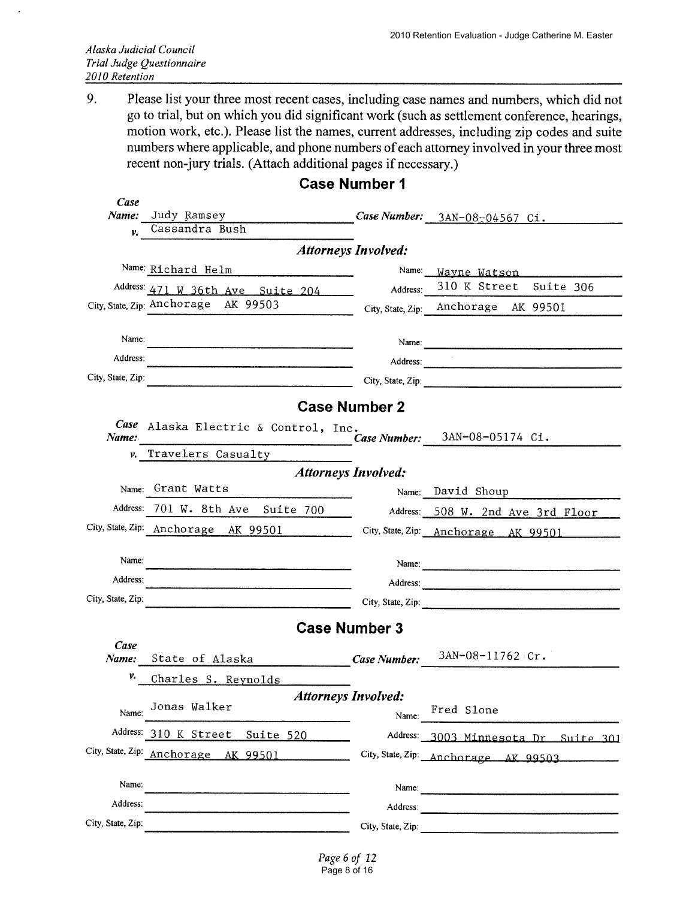9. Please list your three most recent cases, including case names and numbers, which did not go to trial, but on which you did significant work (such as settlement conference, hearings, motion work, etc.). Please list the names, current addresses, including zip codes and suite numbers where applicable, and phone numbers of each attorney involved in your three most recent non-jury trials. (Attach additional pages if necessary.)

| Case              |                                                                           |                            |                                      |
|-------------------|---------------------------------------------------------------------------|----------------------------|--------------------------------------|
| Name:<br>v.       | Judy Ramsey<br>Cassandra Bush                                             |                            | Case Number: $3AN-08-04567$ Ci.      |
|                   |                                                                           | <b>Attorneys Involved:</b> |                                      |
|                   | Name: Richard Helm                                                        | Name:                      | Wayne Watson                         |
|                   | Address: 471 W 36th Ave Suite 204                                         | Address:                   | 310 K Street Suite 306               |
|                   | City, State, Zip: Anchorage AK 99503                                      |                            | City, State, Zip: Anchorage AK 99501 |
| Name:             |                                                                           |                            |                                      |
| Address:          |                                                                           |                            |                                      |
| City, State, Zip: |                                                                           |                            | City, State, Zip:                    |
|                   |                                                                           | <b>Case Number 2</b>       |                                      |
| Case<br>Name:     | Alaska Electric & Control, Inc.                                           |                            | Case Number: 3AN-08-05174 Ci.        |
|                   | v. Travelers Casualty                                                     |                            |                                      |
|                   | <b>Attorneys Involved:</b>                                                |                            |                                      |
|                   | Name: Grant Watts                                                         |                            | Name: David Shoup                    |
|                   | Address: 701 W. 8th Ave Suite 700                                         |                            | Address: 508 W. 2nd Ave 3rd Floor    |
|                   | City, State, Zip: Anchorage AK 99501 City, State, Zip: Anchorage AK 99501 |                            |                                      |
| Name:             |                                                                           |                            |                                      |
| Address:          |                                                                           |                            | Address:                             |
| City, State, Zip: |                                                                           |                            | City, State, Zip:                    |
|                   |                                                                           | <b>Case Number 3</b>       |                                      |
| Case              |                                                                           |                            |                                      |
| Name:             | State of Alaska                                                           | <b>Case Number:</b>        | $3AN-08-11762$ Cr.                   |
| v.                | Charles S. Reynolds                                                       |                            |                                      |
|                   | <b>Attorneys Involved:</b><br>Jonas Walker                                |                            | Fred Slone                           |
| Name:             |                                                                           | Name:                      |                                      |
|                   | Address: 310 K Street Suite 520                                           |                            | Address: 3003 Minnesota Dr Suite 301 |
|                   | City, State, Zip: Anchorage AK 99501                                      |                            | City, State, Zip: Anchorage AK 99503 |
| Name:             |                                                                           |                            |                                      |
| Address:          |                                                                           |                            |                                      |
| City, State, Zip: |                                                                           |                            | City, State, Zip:                    |

# **Case Number 1**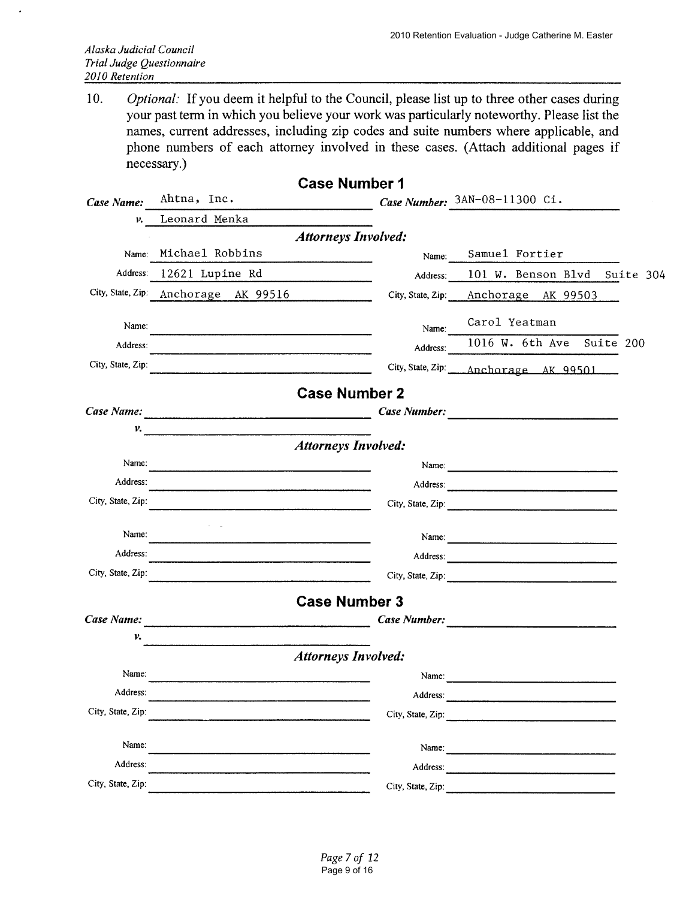Optional: If you deem it helpful to the Council, please list up to three other cases during  $10.$ your past term in which you believe your work was particularly noteworthy. Please list the names, current addresses, including zip codes and suite numbers where applicable, and phone numbers of each attorney involved in these cases. (Attach additional pages if necessary.)

|                   |                                                     | <b>Case Number 1</b>       |                                                                                                                                                                                                                                |
|-------------------|-----------------------------------------------------|----------------------------|--------------------------------------------------------------------------------------------------------------------------------------------------------------------------------------------------------------------------------|
| Case Name:        | Ahtna, Inc.                                         |                            | Case Number: 3AN-08-11300 Ci.                                                                                                                                                                                                  |
| ν.                | Leonard Menka                                       |                            |                                                                                                                                                                                                                                |
|                   |                                                     | <b>Attorneys Involved:</b> |                                                                                                                                                                                                                                |
|                   | Name: Michael Robbins                               | Name:                      | Samuel Fortier                                                                                                                                                                                                                 |
| Address:          | 12621 Lupine Rd                                     | Address:                   | 101 W. Benson Blvd Suite 304                                                                                                                                                                                                   |
|                   | City, State, Zip: Anchorage AK 99516                |                            | City, State, Zip: Anchorage AK 99503                                                                                                                                                                                           |
| Name:             |                                                     | Name:                      | Carol Yeatman                                                                                                                                                                                                                  |
| Address:          |                                                     | Address:                   | 1016 W. 6th Ave Suite 200                                                                                                                                                                                                      |
| City, State, Zip: |                                                     |                            | City, State, Zip: Anchorage AK 99501                                                                                                                                                                                           |
|                   |                                                     | <b>Case Number 2</b>       |                                                                                                                                                                                                                                |
| Case Name:        |                                                     |                            | Case Number:                                                                                                                                                                                                                   |
| ν.                | <u> 1980 - Johann Barn, Amerikaansk politiker (</u> |                            |                                                                                                                                                                                                                                |
|                   |                                                     | <b>Attorneys Involved:</b> |                                                                                                                                                                                                                                |
| Name:             |                                                     |                            | Name: $\frac{1}{2}$                                                                                                                                                                                                            |
| Address:          |                                                     |                            | Address: 2008 Contract Contract Contract Contract Contract Contract Contract Contract Contract Contract Contract Contract Contract Contract Contract Contract Contract Contract Contract Contract Contract Contract Contract C |
| City, State, Zip: |                                                     |                            | City, State, Zip:                                                                                                                                                                                                              |
| Name:             |                                                     |                            |                                                                                                                                                                                                                                |
| Address:          |                                                     |                            |                                                                                                                                                                                                                                |
| City, State, Zip: | <u> 1980 - Jan Barat, Amerikaansk politiker (</u>   |                            |                                                                                                                                                                                                                                |
|                   |                                                     | <b>Case Number 3</b>       |                                                                                                                                                                                                                                |
| Case Name:        |                                                     |                            |                                                                                                                                                                                                                                |
| v.                |                                                     |                            |                                                                                                                                                                                                                                |
|                   |                                                     | <b>Attorneys Involved:</b> |                                                                                                                                                                                                                                |
| Name:             |                                                     | Name:                      |                                                                                                                                                                                                                                |
| Address:          |                                                     | Address:                   |                                                                                                                                                                                                                                |
| City, State, Zip: |                                                     | City, State, Zip:          |                                                                                                                                                                                                                                |
| Name:             |                                                     | Name:                      |                                                                                                                                                                                                                                |
| Address:          |                                                     | Address:                   |                                                                                                                                                                                                                                |
| City, State, Zip: |                                                     | City, State, Zip:          |                                                                                                                                                                                                                                |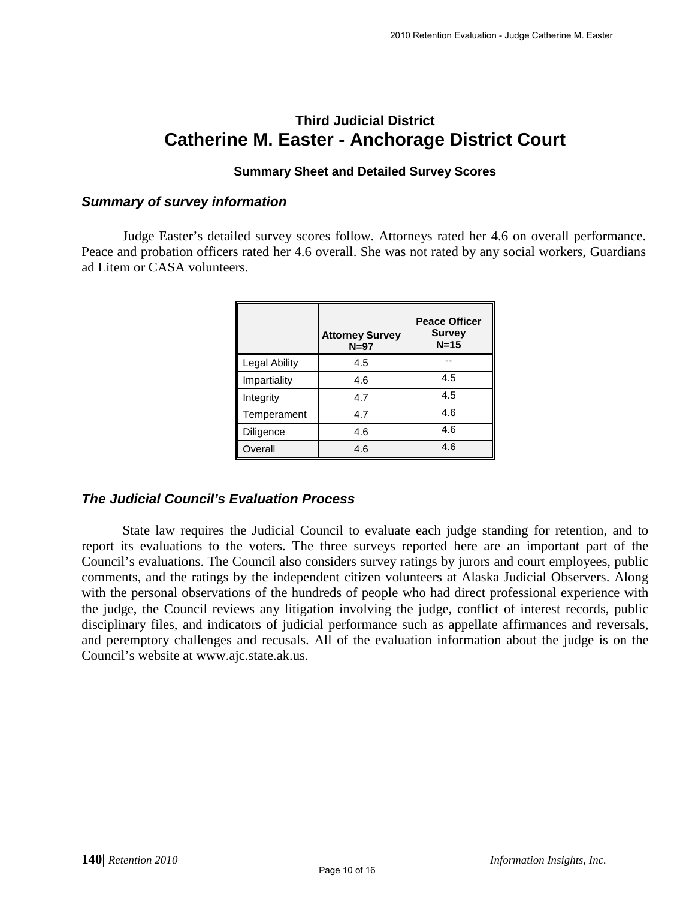# **Third Judicial District Catherine M. Easter - Anchorage District Court**

#### **Summary Sheet and Detailed Survey Scores**

#### *Summary of survey information*

Judge Easter's detailed survey scores follow. Attorneys rated her 4.6 on overall performance. Peace and probation officers rated her 4.6 overall. She was not rated by any social workers, Guardians ad Litem or CASA volunteers.

|                      | <b>Attorney Survey</b><br>$N=97$ | <b>Peace Officer</b><br><b>Survey</b><br>$N=15$ |
|----------------------|----------------------------------|-------------------------------------------------|
| <b>Legal Ability</b> | 4.5                              |                                                 |
| Impartiality         | 4.6                              | 4.5                                             |
| Integrity            | 4.7                              | 4.5                                             |
| Temperament          | 4.7                              | 4.6                                             |
| Diligence            | 4.6                              | 4.6                                             |
| Overall              | 4.6                              | 4.6                                             |

## *The Judicial Council's Evaluation Process*

State law requires the Judicial Council to evaluate each judge standing for retention, and to report its evaluations to the voters. The three surveys reported here are an important part of the Council's evaluations. The Council also considers survey ratings by jurors and court employees, public comments, and the ratings by the independent citizen volunteers at Alaska Judicial Observers. Along with the personal observations of the hundreds of people who had direct professional experience with the judge, the Council reviews any litigation involving the judge, conflict of interest records, public disciplinary files, and indicators of judicial performance such as appellate affirmances and reversals, and peremptory challenges and recusals. All of the evaluation information about the judge is on the Council's website at www.ajc.state.ak.us.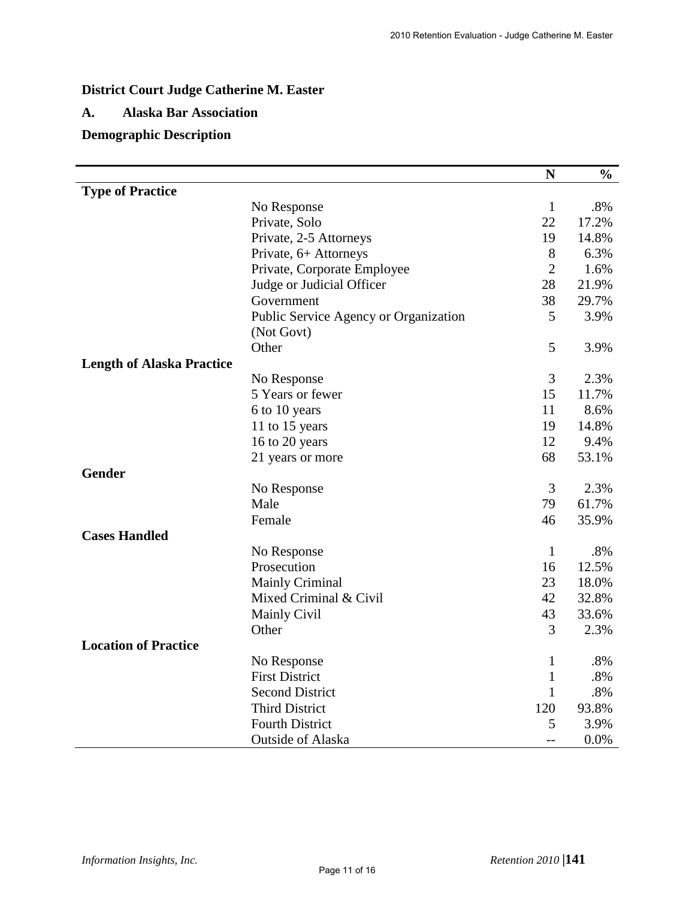# **District Court Judge Catherine M. Easter**

#### **A. Alaska Bar Association**

# **Demographic Description**

|                                  |                                       | N              | $\frac{0}{0}$ |
|----------------------------------|---------------------------------------|----------------|---------------|
| <b>Type of Practice</b>          |                                       |                |               |
|                                  | No Response                           | $\mathbf{1}$   | $.8\%$        |
|                                  | Private, Solo                         | 22             | 17.2%         |
|                                  | Private, 2-5 Attorneys                | 19             | 14.8%         |
|                                  | Private, 6+ Attorneys                 | 8              | 6.3%          |
|                                  | Private, Corporate Employee           | $\overline{2}$ | 1.6%          |
|                                  | Judge or Judicial Officer             | 28             | 21.9%         |
|                                  | Government                            | 38             | 29.7%         |
|                                  | Public Service Agency or Organization | 5              | 3.9%          |
|                                  | (Not Govt)                            |                |               |
|                                  | Other                                 | 5              | 3.9%          |
| <b>Length of Alaska Practice</b> |                                       |                |               |
|                                  | No Response                           | 3              | 2.3%          |
|                                  | 5 Years or fewer                      | 15             | 11.7%         |
|                                  | 6 to 10 years                         | 11             | 8.6%          |
|                                  | 11 to 15 years                        | 19             | 14.8%         |
|                                  | 16 to 20 years                        | 12             | 9.4%          |
|                                  | 21 years or more                      | 68             | 53.1%         |
| Gender                           |                                       |                |               |
|                                  | No Response                           | 3              | 2.3%          |
|                                  | Male                                  | 79             | 61.7%         |
|                                  | Female                                | 46             | 35.9%         |
| <b>Cases Handled</b>             |                                       |                |               |
|                                  | No Response                           | $\mathbf{1}$   | .8%           |
|                                  | Prosecution                           | 16             | 12.5%         |
|                                  | <b>Mainly Criminal</b>                | 23             | 18.0%         |
|                                  | Mixed Criminal & Civil                | 42             | 32.8%         |
|                                  | <b>Mainly Civil</b>                   | 43             | 33.6%         |
|                                  | Other                                 | 3              | 2.3%          |
| <b>Location of Practice</b>      |                                       |                |               |
|                                  | No Response                           | $\mathbf{1}$   | .8%           |
|                                  | <b>First District</b>                 | $\mathbf{1}$   | .8%           |
|                                  | <b>Second District</b>                | 1              | $.8\%$        |
|                                  | <b>Third District</b>                 | 120            | 93.8%         |
|                                  | <b>Fourth District</b>                | 5              | 3.9%          |
|                                  | Outside of Alaska                     | $-$            | 0.0%          |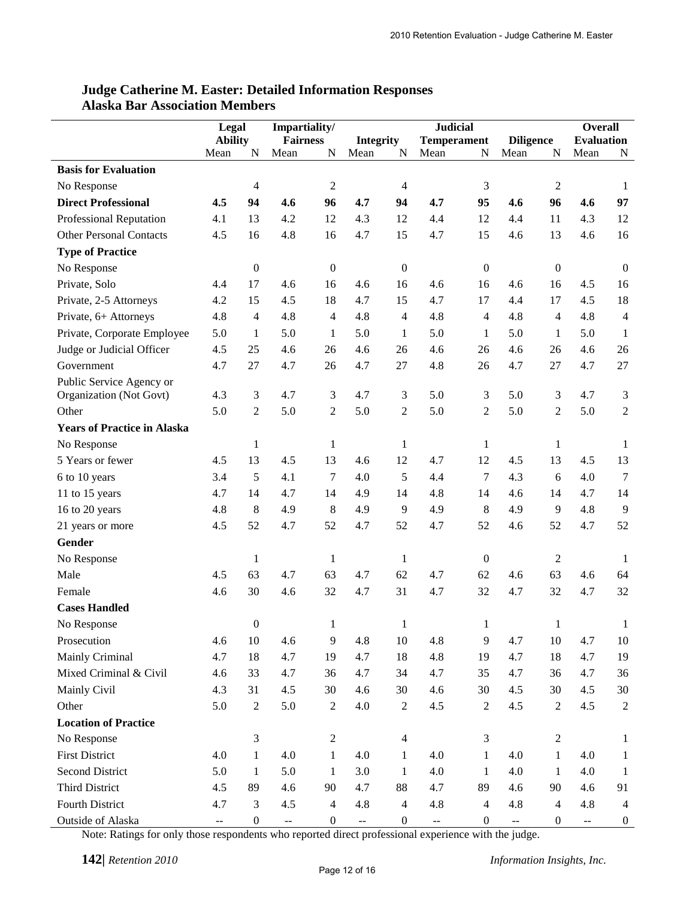| Impartiality/<br>Legal<br><b>Ability</b><br><b>Diligence</b><br><b>Evaluation</b><br><b>Fairness</b><br><b>Integrity</b><br><b>Temperament</b><br>N<br>N<br>Mean<br>N<br>N<br>Mean<br>N<br>Mean<br>Mean<br>Mean<br>Mean<br>N<br><b>Basis for Evaluation</b><br>$\boldsymbol{2}$<br>3<br>$\sqrt{2}$<br>$\overline{4}$<br>4<br>No Response<br>1<br><b>Direct Professional</b><br>94<br>4.6<br>96<br>4.7<br>94<br>4.7<br>95<br>96<br>97<br>4.5<br>4.6<br>4.6<br><b>Professional Reputation</b><br>4.1<br>13<br>4.2<br>12<br>4.3<br>12<br>4.4<br>12<br>4.4<br>11<br>4.3<br>12<br><b>Other Personal Contacts</b><br>4.8<br>4.7<br>15<br>4.5<br>16<br>16<br>4.7<br>15<br>4.6<br>13<br>4.6<br>16<br><b>Type of Practice</b><br>$\boldsymbol{0}$<br>$\boldsymbol{0}$<br>$\boldsymbol{0}$<br>$\boldsymbol{0}$<br>$\boldsymbol{0}$<br>No Response<br>$\boldsymbol{0}$<br>Private, Solo<br>4.4<br>17<br>16<br>4.6<br>4.6<br>4.5<br>16<br>4.6<br>4.6<br>16<br>16<br>16<br>Private, 2-5 Attorneys<br>4.2<br>15<br>4.5<br>18<br>4.7<br>15<br>4.7<br>17<br>4.4<br>4.5<br>18<br>17<br>Private, 6+ Attorneys<br>4.8<br>4.8<br>$\overline{4}$<br>4.8<br>4.8<br>4.8<br>4.8<br>$\overline{4}$<br>4<br>4<br>4<br>$\overline{4}$<br>Private, Corporate Employee<br>5.0<br>$\mathbf{1}$<br>5.0<br>$\mathbf{1}$<br>5.0<br>5.0<br>1<br>5.0<br>5.0<br>1<br>1<br>$\mathbf{1}$ |
|----------------------------------------------------------------------------------------------------------------------------------------------------------------------------------------------------------------------------------------------------------------------------------------------------------------------------------------------------------------------------------------------------------------------------------------------------------------------------------------------------------------------------------------------------------------------------------------------------------------------------------------------------------------------------------------------------------------------------------------------------------------------------------------------------------------------------------------------------------------------------------------------------------------------------------------------------------------------------------------------------------------------------------------------------------------------------------------------------------------------------------------------------------------------------------------------------------------------------------------------------------------------------------------------------------------------------------------------------|
|                                                                                                                                                                                                                                                                                                                                                                                                                                                                                                                                                                                                                                                                                                                                                                                                                                                                                                                                                                                                                                                                                                                                                                                                                                                                                                                                                    |
|                                                                                                                                                                                                                                                                                                                                                                                                                                                                                                                                                                                                                                                                                                                                                                                                                                                                                                                                                                                                                                                                                                                                                                                                                                                                                                                                                    |
|                                                                                                                                                                                                                                                                                                                                                                                                                                                                                                                                                                                                                                                                                                                                                                                                                                                                                                                                                                                                                                                                                                                                                                                                                                                                                                                                                    |
|                                                                                                                                                                                                                                                                                                                                                                                                                                                                                                                                                                                                                                                                                                                                                                                                                                                                                                                                                                                                                                                                                                                                                                                                                                                                                                                                                    |
|                                                                                                                                                                                                                                                                                                                                                                                                                                                                                                                                                                                                                                                                                                                                                                                                                                                                                                                                                                                                                                                                                                                                                                                                                                                                                                                                                    |
|                                                                                                                                                                                                                                                                                                                                                                                                                                                                                                                                                                                                                                                                                                                                                                                                                                                                                                                                                                                                                                                                                                                                                                                                                                                                                                                                                    |
|                                                                                                                                                                                                                                                                                                                                                                                                                                                                                                                                                                                                                                                                                                                                                                                                                                                                                                                                                                                                                                                                                                                                                                                                                                                                                                                                                    |
|                                                                                                                                                                                                                                                                                                                                                                                                                                                                                                                                                                                                                                                                                                                                                                                                                                                                                                                                                                                                                                                                                                                                                                                                                                                                                                                                                    |
|                                                                                                                                                                                                                                                                                                                                                                                                                                                                                                                                                                                                                                                                                                                                                                                                                                                                                                                                                                                                                                                                                                                                                                                                                                                                                                                                                    |
|                                                                                                                                                                                                                                                                                                                                                                                                                                                                                                                                                                                                                                                                                                                                                                                                                                                                                                                                                                                                                                                                                                                                                                                                                                                                                                                                                    |
|                                                                                                                                                                                                                                                                                                                                                                                                                                                                                                                                                                                                                                                                                                                                                                                                                                                                                                                                                                                                                                                                                                                                                                                                                                                                                                                                                    |
|                                                                                                                                                                                                                                                                                                                                                                                                                                                                                                                                                                                                                                                                                                                                                                                                                                                                                                                                                                                                                                                                                                                                                                                                                                                                                                                                                    |
|                                                                                                                                                                                                                                                                                                                                                                                                                                                                                                                                                                                                                                                                                                                                                                                                                                                                                                                                                                                                                                                                                                                                                                                                                                                                                                                                                    |
| Judge or Judicial Officer<br>4.5<br>25<br>4.6<br>4.6<br>26<br>4.6<br>26<br>4.6<br>26<br>26<br>26<br>4.6                                                                                                                                                                                                                                                                                                                                                                                                                                                                                                                                                                                                                                                                                                                                                                                                                                                                                                                                                                                                                                                                                                                                                                                                                                            |
| 4.8<br>4.7<br>27<br>Government<br>4.7<br>27<br>4.7<br>26<br>4.7<br>27<br>26<br>27<br>4.7                                                                                                                                                                                                                                                                                                                                                                                                                                                                                                                                                                                                                                                                                                                                                                                                                                                                                                                                                                                                                                                                                                                                                                                                                                                           |
| Public Service Agency or                                                                                                                                                                                                                                                                                                                                                                                                                                                                                                                                                                                                                                                                                                                                                                                                                                                                                                                                                                                                                                                                                                                                                                                                                                                                                                                           |
| 4.3<br>3<br>4.7<br>3<br>4.7<br>3<br>5.0<br>3<br>5.0<br>3<br>4.7<br>Organization (Not Govt)<br>3                                                                                                                                                                                                                                                                                                                                                                                                                                                                                                                                                                                                                                                                                                                                                                                                                                                                                                                                                                                                                                                                                                                                                                                                                                                    |
| 5.0<br>5.0<br>$\overline{2}$<br>5.0<br>$\overline{c}$<br>5.0<br>5.0<br>5.0<br>Other<br>2<br>2<br>2<br>$\mathfrak{2}$                                                                                                                                                                                                                                                                                                                                                                                                                                                                                                                                                                                                                                                                                                                                                                                                                                                                                                                                                                                                                                                                                                                                                                                                                               |
| <b>Years of Practice in Alaska</b>                                                                                                                                                                                                                                                                                                                                                                                                                                                                                                                                                                                                                                                                                                                                                                                                                                                                                                                                                                                                                                                                                                                                                                                                                                                                                                                 |
| $\mathbf{1}$<br>$\mathbf{1}$<br>$\mathbf{1}$<br>1<br>No Response<br>$\mathbf{1}$<br>1                                                                                                                                                                                                                                                                                                                                                                                                                                                                                                                                                                                                                                                                                                                                                                                                                                                                                                                                                                                                                                                                                                                                                                                                                                                              |
| 13<br>5 Years or fewer<br>4.5<br>4.5<br>13<br>12<br>4.7<br>12<br>4.5<br>13<br>4.5<br>13<br>4.6                                                                                                                                                                                                                                                                                                                                                                                                                                                                                                                                                                                                                                                                                                                                                                                                                                                                                                                                                                                                                                                                                                                                                                                                                                                     |
| 5<br>7<br>5<br>$\overline{7}$<br>4.3<br>4.1<br>4.0<br>4.4<br>4.0<br>$\overline{7}$<br>6 to 10 years<br>3.4<br>6                                                                                                                                                                                                                                                                                                                                                                                                                                                                                                                                                                                                                                                                                                                                                                                                                                                                                                                                                                                                                                                                                                                                                                                                                                    |
| 11 to 15 years<br>4.7<br>14<br>4.7<br>14<br>4.9<br>14<br>4.8<br>14<br>4.7<br>14<br>4.6<br>14                                                                                                                                                                                                                                                                                                                                                                                                                                                                                                                                                                                                                                                                                                                                                                                                                                                                                                                                                                                                                                                                                                                                                                                                                                                       |
| 9<br>16 to 20 years<br>8<br>4.9<br>8<br>4.9<br>9<br>4.9<br>8<br>4.9<br>9<br>4.8<br>4.8                                                                                                                                                                                                                                                                                                                                                                                                                                                                                                                                                                                                                                                                                                                                                                                                                                                                                                                                                                                                                                                                                                                                                                                                                                                             |
| 4.7<br>52<br>4.5<br>52<br>4.7<br>52<br>4.7<br>52<br>52<br>4.6<br>52<br>4.7<br>21 years or more                                                                                                                                                                                                                                                                                                                                                                                                                                                                                                                                                                                                                                                                                                                                                                                                                                                                                                                                                                                                                                                                                                                                                                                                                                                     |
| Gender                                                                                                                                                                                                                                                                                                                                                                                                                                                                                                                                                                                                                                                                                                                                                                                                                                                                                                                                                                                                                                                                                                                                                                                                                                                                                                                                             |
| $\mathbf{1}$<br>$\mathbf{1}$<br>$\mathbf{1}$<br>$\boldsymbol{0}$<br>$\mathfrak{2}$<br>No Response<br>1                                                                                                                                                                                                                                                                                                                                                                                                                                                                                                                                                                                                                                                                                                                                                                                                                                                                                                                                                                                                                                                                                                                                                                                                                                             |
| 63<br>4.7<br>Male<br>4.5<br>63<br>4.7<br>62<br>4.7<br>62<br>63<br>4.6<br>64<br>4.6                                                                                                                                                                                                                                                                                                                                                                                                                                                                                                                                                                                                                                                                                                                                                                                                                                                                                                                                                                                                                                                                                                                                                                                                                                                                 |
| 32<br>4.6<br>30<br>4.6<br>4.7<br>31<br>4.7<br>32<br>4.7<br>32<br>4.7<br>32<br>Female                                                                                                                                                                                                                                                                                                                                                                                                                                                                                                                                                                                                                                                                                                                                                                                                                                                                                                                                                                                                                                                                                                                                                                                                                                                               |
| <b>Cases Handled</b>                                                                                                                                                                                                                                                                                                                                                                                                                                                                                                                                                                                                                                                                                                                                                                                                                                                                                                                                                                                                                                                                                                                                                                                                                                                                                                                               |
| No Response<br>0                                                                                                                                                                                                                                                                                                                                                                                                                                                                                                                                                                                                                                                                                                                                                                                                                                                                                                                                                                                                                                                                                                                                                                                                                                                                                                                                   |
| $10\,$<br>4.8<br>4.8<br>4.6<br>4.6<br>9<br>10<br>9<br>4.7<br>4.7<br>Prosecution<br>10<br>10                                                                                                                                                                                                                                                                                                                                                                                                                                                                                                                                                                                                                                                                                                                                                                                                                                                                                                                                                                                                                                                                                                                                                                                                                                                        |
| Mainly Criminal<br>4.7<br>18<br>4.7<br>4.7<br>4.8<br>4.7<br>19<br>18<br>19<br>18<br>4.7<br>19                                                                                                                                                                                                                                                                                                                                                                                                                                                                                                                                                                                                                                                                                                                                                                                                                                                                                                                                                                                                                                                                                                                                                                                                                                                      |
| Mixed Criminal & Civil<br>33<br>4.7<br>4.6<br>4.7<br>36<br>4.7<br>34<br>35<br>4.7<br>36<br>36<br>4.7                                                                                                                                                                                                                                                                                                                                                                                                                                                                                                                                                                                                                                                                                                                                                                                                                                                                                                                                                                                                                                                                                                                                                                                                                                               |
| Mainly Civil<br>4.3<br>31<br>4.5<br>30<br>4.6<br>4.6<br>4.5<br>30<br>30<br>30<br>4.5<br>30                                                                                                                                                                                                                                                                                                                                                                                                                                                                                                                                                                                                                                                                                                                                                                                                                                                                                                                                                                                                                                                                                                                                                                                                                                                         |
| Other<br>5.0<br>5.0<br>$\overline{2}$<br>$\boldsymbol{2}$<br>4.0<br>$\overline{2}$<br>4.5<br>$\boldsymbol{2}$<br>4.5<br>4.5<br>$\overline{2}$<br>2                                                                                                                                                                                                                                                                                                                                                                                                                                                                                                                                                                                                                                                                                                                                                                                                                                                                                                                                                                                                                                                                                                                                                                                                 |
| <b>Location of Practice</b>                                                                                                                                                                                                                                                                                                                                                                                                                                                                                                                                                                                                                                                                                                                                                                                                                                                                                                                                                                                                                                                                                                                                                                                                                                                                                                                        |
| 3<br>$\mathfrak{Z}$<br>$\boldsymbol{2}$<br>No Response<br>$\sqrt{2}$<br>4<br>1                                                                                                                                                                                                                                                                                                                                                                                                                                                                                                                                                                                                                                                                                                                                                                                                                                                                                                                                                                                                                                                                                                                                                                                                                                                                     |
| <b>First District</b><br>$\mathbf{1}$<br>4.0<br>4.0<br>$\mathbf{1}$<br>4.0<br>4.0<br>$\mathbf{1}$<br>4.0<br>$\mathbf{1}$<br>4.0<br>1<br>$\mathbf{1}$                                                                                                                                                                                                                                                                                                                                                                                                                                                                                                                                                                                                                                                                                                                                                                                                                                                                                                                                                                                                                                                                                                                                                                                               |
| <b>Second District</b><br>5.0<br>4.0<br>5.0<br>3.0<br>4.0<br>4.0<br>$\mathbf{1}$<br>$\mathbf{1}$<br>$\mathbf{1}$<br>1<br>1<br>-1                                                                                                                                                                                                                                                                                                                                                                                                                                                                                                                                                                                                                                                                                                                                                                                                                                                                                                                                                                                                                                                                                                                                                                                                                   |
| <b>Third District</b><br>4.7<br>4.5<br>89<br>4.6<br>90<br>4.7<br>88<br>89<br>4.6<br>4.6<br>90<br>91                                                                                                                                                                                                                                                                                                                                                                                                                                                                                                                                                                                                                                                                                                                                                                                                                                                                                                                                                                                                                                                                                                                                                                                                                                                |
| Fourth District<br>4.7<br>$\mathfrak{Z}$<br>4.8<br>4.5<br>$\overline{4}$<br>4.8<br>4<br>4<br>4.8<br>4.8<br>$\overline{4}$<br>$\overline{4}$                                                                                                                                                                                                                                                                                                                                                                                                                                                                                                                                                                                                                                                                                                                                                                                                                                                                                                                                                                                                                                                                                                                                                                                                        |
| Outside of Alaska<br>$\boldsymbol{0}$<br>$\boldsymbol{0}$<br>$\boldsymbol{0}$<br>$\boldsymbol{0}$<br>$\boldsymbol{0}$<br>$\boldsymbol{0}$<br>$\mathbb{H}^{\mathbb{Z}}$<br>$\mathbb{H}^2$<br>$\mathord{\hspace{1pt}\text{--}\hspace{1pt}}$<br>--<br>--<br>$\overline{\phantom{a}}$                                                                                                                                                                                                                                                                                                                                                                                                                                                                                                                                                                                                                                                                                                                                                                                                                                                                                                                                                                                                                                                                  |

#### **Judge Catherine M. Easter: Detailed Information Responses Alaska Bar Association Members**

Note: Ratings for only those respondents who reported direct professional experience with the judge.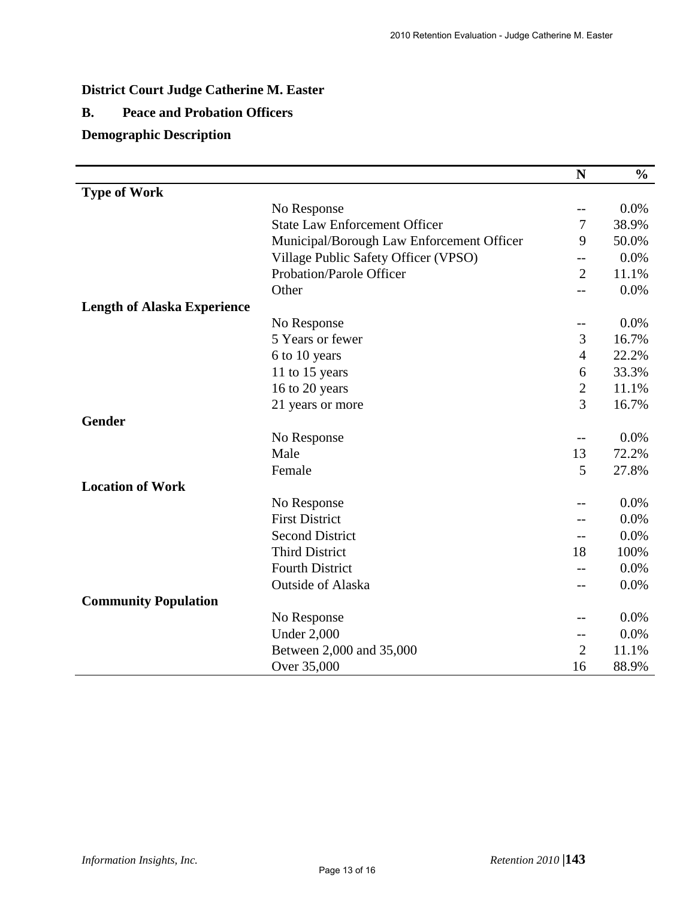# **District Court Judge Catherine M. Easter**

## **B. Peace and Probation Officers**

## **Demographic Description**

|                                    |                                                                                                   | $\mathbf N$    | $\frac{6}{6}$ |
|------------------------------------|---------------------------------------------------------------------------------------------------|----------------|---------------|
| <b>Type of Work</b>                |                                                                                                   |                |               |
|                                    | No Response                                                                                       | --             | 0.0%          |
|                                    | <b>State Law Enforcement Officer</b>                                                              | 7              | 38.9%         |
|                                    | Municipal/Borough Law Enforcement Officer                                                         | 9              | 50.0%         |
|                                    | Village Public Safety Officer (VPSO)                                                              | --             | 0.0%          |
|                                    | Probation/Parole Officer                                                                          | $\overline{2}$ | 11.1%         |
|                                    | Other                                                                                             | $-$            | 0.0%          |
| <b>Length of Alaska Experience</b> |                                                                                                   |                |               |
|                                    | No Response                                                                                       | --             | 0.0%          |
|                                    | 5 Years or fewer                                                                                  | 3              | 16.7%         |
|                                    | 6 to 10 years                                                                                     | $\overline{4}$ | 22.2%         |
|                                    | 11 to 15 years                                                                                    | 6              | 33.3%         |
|                                    | 16 to 20 years                                                                                    | $\overline{2}$ | 11.1%         |
|                                    | 21 years or more                                                                                  | 3              | 16.7%         |
| <b>Gender</b>                      |                                                                                                   |                |               |
|                                    | No Response                                                                                       | --             | 0.0%          |
|                                    | Male                                                                                              | 13             | 72.2%         |
|                                    | Female                                                                                            | 5              | 27.8%         |
| <b>Location of Work</b>            |                                                                                                   |                |               |
|                                    | No Response                                                                                       | $-1$           | 0.0%          |
|                                    | <b>First District</b>                                                                             | --             | 0.0%          |
|                                    | <b>Second District</b>                                                                            | --             | 0.0%          |
|                                    | <b>Third District</b>                                                                             | 18             | 100%          |
|                                    | <b>Fourth District</b>                                                                            |                | 0.0%          |
|                                    | Outside of Alaska<br>No Response<br><b>Under 2,000</b><br>Between 2,000 and 35,000<br>Over 35,000 |                |               |
| <b>Community Population</b>        |                                                                                                   |                |               |
|                                    |                                                                                                   | --             | 0.0%          |
|                                    |                                                                                                   | --             | 0.0%          |
|                                    |                                                                                                   | $\overline{2}$ | 11.1%         |
|                                    |                                                                                                   | 16             | 88.9%         |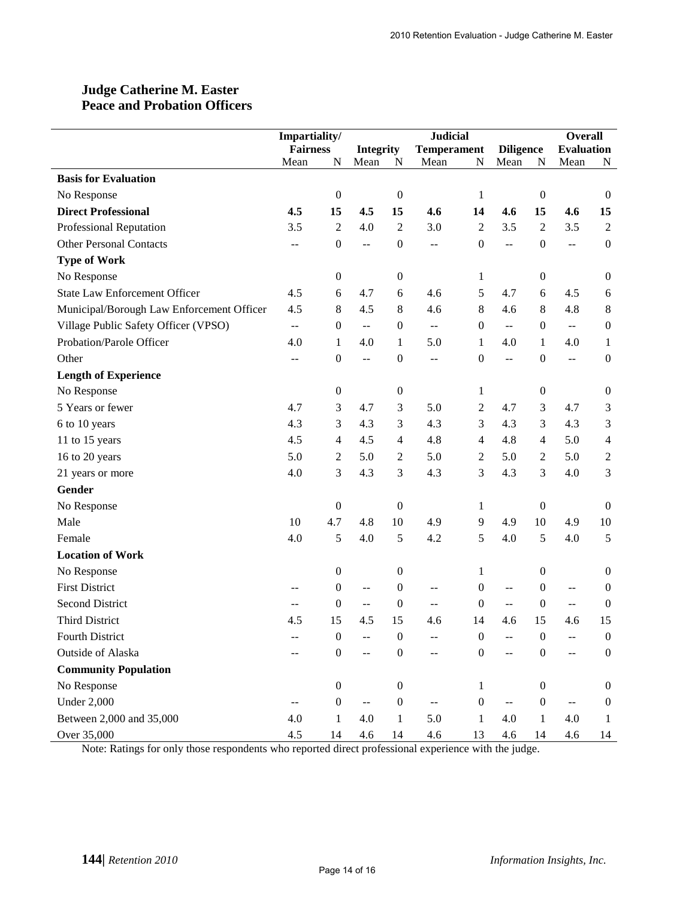## **Judge Catherine M. Easter Peace and Probation Officers**

|                                           | Impartiality/   |                  |                                               |                                        | <b>Judicial</b>                               |                  |                          | <b>Overall</b>   |                                               |                  |
|-------------------------------------------|-----------------|------------------|-----------------------------------------------|----------------------------------------|-----------------------------------------------|------------------|--------------------------|------------------|-----------------------------------------------|------------------|
|                                           | <b>Fairness</b> |                  |                                               | <b>Temperament</b><br><b>Integrity</b> |                                               |                  | <b>Diligence</b>         |                  | <b>Evaluation</b>                             |                  |
|                                           | Mean            | N                | Mean                                          | N                                      | Mean                                          | N                | Mean                     | N                | Mean                                          | N                |
| <b>Basis for Evaluation</b>               |                 |                  |                                               |                                        |                                               |                  |                          |                  |                                               |                  |
| No Response                               |                 | $\boldsymbol{0}$ |                                               | $\boldsymbol{0}$                       |                                               | 1                |                          | $\boldsymbol{0}$ |                                               | $\boldsymbol{0}$ |
| <b>Direct Professional</b>                | 4.5             | 15               | 4.5                                           | 15                                     | 4.6                                           | 14               | 4.6                      | 15               | 4.6                                           | 15               |
| Professional Reputation                   | 3.5             | $\sqrt{2}$       | 4.0                                           | $\mathfrak{2}$                         | 3.0                                           | $\mathbf{2}$     | 3.5                      | $\overline{2}$   | 3.5                                           | $\sqrt{2}$       |
| <b>Other Personal Contacts</b>            | --              | $\boldsymbol{0}$ | $\overline{a}$                                | $\boldsymbol{0}$                       | $-$                                           | $\boldsymbol{0}$ | $-$                      | $\boldsymbol{0}$ | $\mathbf{u}$                                  | $\boldsymbol{0}$ |
| <b>Type of Work</b>                       |                 |                  |                                               |                                        |                                               |                  |                          |                  |                                               |                  |
| No Response                               |                 | $\boldsymbol{0}$ |                                               | $\boldsymbol{0}$                       |                                               | 1                |                          | $\boldsymbol{0}$ |                                               | $\boldsymbol{0}$ |
| <b>State Law Enforcement Officer</b>      | 4.5             | 6                | 4.7                                           | 6                                      | 4.6                                           | 5                | 4.7                      | 6                | 4.5                                           | $\boldsymbol{6}$ |
| Municipal/Borough Law Enforcement Officer | 4.5             | 8                | 4.5                                           | 8                                      | 4.6                                           | 8                | 4.6                      | 8                | 4.8                                           | $8\,$            |
| Village Public Safety Officer (VPSO)      | $\sim$ $\sim$   | $\boldsymbol{0}$ | $\mathord{\hspace{1pt}\text{--}\hspace{1pt}}$ | $\boldsymbol{0}$                       | $\mathord{\hspace{1pt}\text{--}\hspace{1pt}}$ | $\overline{0}$   | $\overline{\phantom{a}}$ | $\theta$         | $\mathord{\hspace{1pt}\text{--}\hspace{1pt}}$ | $\boldsymbol{0}$ |
| Probation/Parole Officer                  | 4.0             | 1                | 4.0                                           | $\mathbf{1}$                           | 5.0                                           | 1                | 4.0                      | 1                | 4.0                                           | 1                |
| Other                                     | --              | $\boldsymbol{0}$ | $\mathbf{u}$                                  | $\boldsymbol{0}$                       | $-$                                           | 0                | $\overline{a}$           | $\boldsymbol{0}$ | --                                            | $\boldsymbol{0}$ |
| <b>Length of Experience</b>               |                 |                  |                                               |                                        |                                               |                  |                          |                  |                                               |                  |
| No Response                               |                 | $\boldsymbol{0}$ |                                               | $\boldsymbol{0}$                       |                                               | 1                |                          | $\boldsymbol{0}$ |                                               | $\boldsymbol{0}$ |
| 5 Years or fewer                          | 4.7             | 3                | 4.7                                           | 3                                      | 5.0                                           | 2                | 4.7                      | 3                | 4.7                                           | 3                |
| 6 to 10 years                             | 4.3             | 3                | 4.3                                           | 3                                      | 4.3                                           | 3                | 4.3                      | 3                | 4.3                                           | 3                |
| 11 to 15 years                            | 4.5             | $\overline{4}$   | 4.5                                           | $\overline{4}$                         | 4.8                                           | 4                | 4.8                      | $\overline{4}$   | 5.0                                           | $\overline{4}$   |
| 16 to 20 years                            | 5.0             | $\sqrt{2}$       | 5.0                                           | $\overline{c}$                         | 5.0                                           | 2                | 5.0                      | $\mathfrak{2}$   | 5.0                                           | $\overline{c}$   |
| 21 years or more                          | 4.0             | 3                | 4.3                                           | 3                                      | 4.3                                           | 3                | 4.3                      | 3                | 4.0                                           | 3                |
| Gender                                    |                 |                  |                                               |                                        |                                               |                  |                          |                  |                                               |                  |
| No Response                               |                 | $\boldsymbol{0}$ |                                               | $\boldsymbol{0}$                       |                                               | 1                |                          | $\boldsymbol{0}$ |                                               | $\boldsymbol{0}$ |
| Male                                      | 10              | 4.7              | 4.8                                           | $10\,$                                 | 4.9                                           | 9                | 4.9                      | 10               | 4.9                                           | 10               |
| Female                                    | 4.0             | 5                | 4.0                                           | 5                                      | 4.2                                           | 5                | 4.0                      | 5                | 4.0                                           | 5                |
| <b>Location of Work</b>                   |                 |                  |                                               |                                        |                                               |                  |                          |                  |                                               |                  |
| No Response                               |                 | $\boldsymbol{0}$ |                                               | $\boldsymbol{0}$                       |                                               | 1                |                          | $\mathbf{0}$     |                                               | $\boldsymbol{0}$ |
| <b>First District</b>                     |                 | $\boldsymbol{0}$ | $-$                                           | $\boldsymbol{0}$                       | $-$                                           | $\theta$         | $-$                      | $\theta$         | $-$                                           | $\boldsymbol{0}$ |
| <b>Second District</b>                    | $-$             | $\mathbf{0}$     | $\overline{a}$                                | $\boldsymbol{0}$                       | $-$                                           | $\theta$         | $\overline{a}$           | $\mathbf{0}$     | $\overline{a}$                                | $\boldsymbol{0}$ |
| <b>Third District</b>                     | 4.5             | 15               | 4.5                                           | 15                                     | 4.6                                           | 14               | 4.6                      | 15               | 4.6                                           | 15               |
| Fourth District                           |                 | $\boldsymbol{0}$ |                                               | $\boldsymbol{0}$                       |                                               | $\boldsymbol{0}$ |                          | $\boldsymbol{0}$ |                                               | $\boldsymbol{0}$ |
| Outside of Alaska                         | --              | $\boldsymbol{0}$ | --                                            | $\boldsymbol{0}$                       | --                                            | $\boldsymbol{0}$ | $-$                      | $\boldsymbol{0}$ |                                               | $\boldsymbol{0}$ |
| <b>Community Population</b>               |                 |                  |                                               |                                        |                                               |                  |                          |                  |                                               |                  |
| No Response                               |                 | $\boldsymbol{0}$ |                                               | $\boldsymbol{0}$                       |                                               | 1                |                          | $\mathbf{0}$     |                                               | $\boldsymbol{0}$ |
| <b>Under 2,000</b>                        | --              | $\boldsymbol{0}$ | $\mathcal{L} \mathcal{L}$                     | $\boldsymbol{0}$                       | $\mathord{\hspace{1pt}\text{--}\hspace{1pt}}$ | $\boldsymbol{0}$ | $\sim$ $\sim$            | $\boldsymbol{0}$ | $\mathord{\hspace{1pt}\text{--}\hspace{1pt}}$ | $\boldsymbol{0}$ |
| Between 2,000 and 35,000                  | 4.0             | $\mathbf{1}$     | 4.0                                           | $\mathbf{1}$                           | 5.0                                           | $\mathbf{1}$     | 4.0                      | $\mathbf{1}$     | 4.0                                           | $\mathbf{1}$     |
| Over 35,000                               | 4.5             | 14               | 4.6                                           | 14                                     | 4.6                                           | 13               | 4.6                      | 14               | 4.6                                           | 14               |

Note: Ratings for only those respondents who reported direct professional experience with the judge.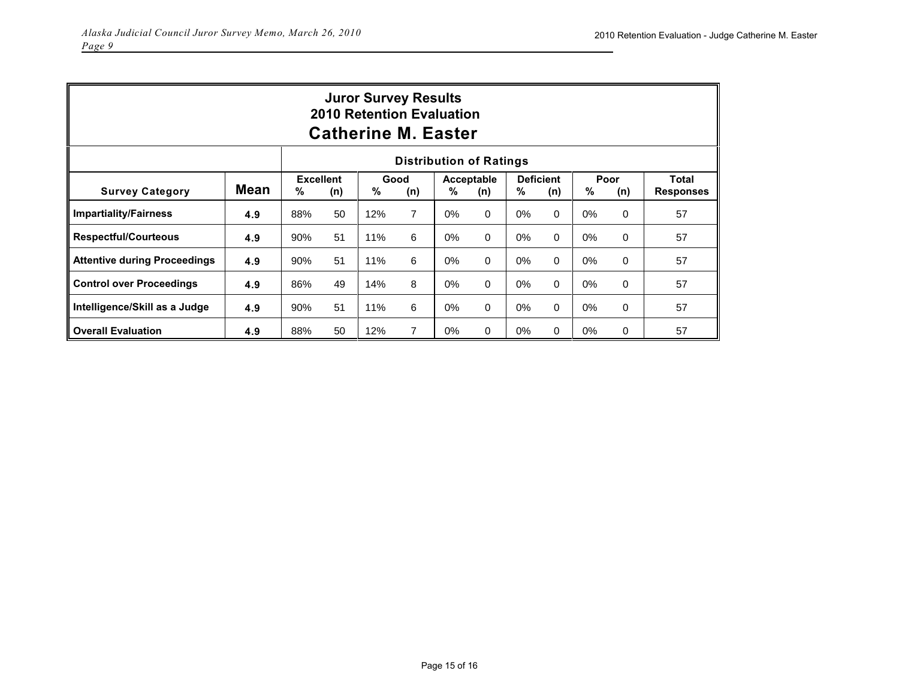| <b>Juror Survey Results</b><br><b>2010 Retention Evaluation</b><br><b>Catherine M. Easter</b> |             |     |                         |               |                |       |                   |       |                         |       |             |                           |
|-----------------------------------------------------------------------------------------------|-------------|-----|-------------------------|---------------|----------------|-------|-------------------|-------|-------------------------|-------|-------------|---------------------------|
| <b>Distribution of Ratings</b>                                                                |             |     |                         |               |                |       |                   |       |                         |       |             |                           |
| <b>Survey Category</b>                                                                        | <b>Mean</b> | %   | <b>Excellent</b><br>(n) | $\frac{0}{0}$ | Good<br>(n)    | %     | Acceptable<br>(n) | %     | <b>Deficient</b><br>(n) | %     | Poor<br>(n) | Total<br><b>Responses</b> |
| <b>Impartiality/Fairness</b>                                                                  | 4.9         | 88% | 50                      | 12%           | $\overline{7}$ | 0%    | $\Omega$          | $0\%$ | $\Omega$                | $0\%$ | 0           | 57                        |
| <b>Respectful/Courteous</b>                                                                   | 4.9         | 90% | 51                      | 11%           | 6              | $0\%$ | 0                 | $0\%$ | 0                       | $0\%$ | 0           | 57                        |
| <b>Attentive during Proceedings</b>                                                           | 4.9         | 90% | 51                      | 11%           | 6              | $0\%$ | $\Omega$          | $0\%$ | $\Omega$                | $0\%$ | $\Omega$    | 57                        |
| <b>Control over Proceedings</b>                                                               | 4.9         | 86% | 49                      | 14%           | 8              | $0\%$ | $\Omega$          | 0%    | $\Omega$                | $0\%$ | 0           | 57                        |
| Intelligence/Skill as a Judge                                                                 | 4.9         | 90% | 51                      | 11%           | 6              | $0\%$ | 0                 | 0%    | 0                       | $0\%$ | 0           | 57                        |
| <b>Overall Evaluation</b>                                                                     | 4.9         | 88% | 50                      | 12%           | $\overline{7}$ | $0\%$ | $\Omega$          | $0\%$ | 0                       | $0\%$ | $\Omega$    | 57                        |